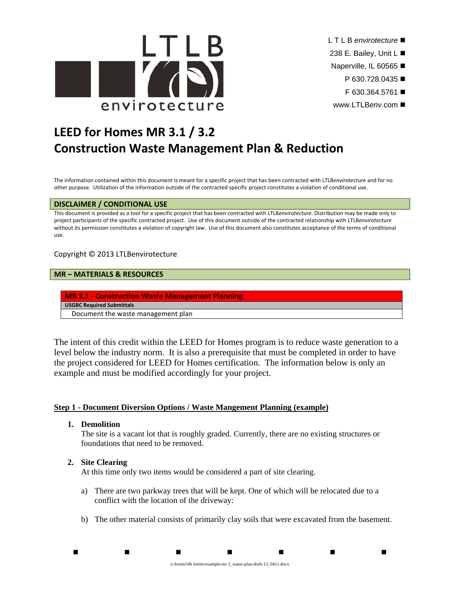

- L T L B *envirotecture*
- 238 E. Bailey, Unit L
- Naperville, IL 60565
	- P 630.728.0435 ■
	- F 630.364.5761
- www.LTLB*env*.com

# **LEED for Homes MR 3.1 / 3.2 Construction Waste Management Plan & Reduction**

The information contained within this document is meant for a specific project that has been contracted with LTLB*envirotecture* and for no other purpose. Utilization of the information outside of the contracted specific project constitutes a violation of conditional use.

# **DISCLAIMER / CONDITIONAL USE**

This document is provided as a tool for a specific project that has been contracted with LTLB*envirotecture*. Distribution may be made only to project participants of the specific contracted project. Use of this document outside of the contracted relationship with LTLB*envirotecture* without its permission constitutes a violation of copyright law. Use of this document also constitutes acceptance of the terms of conditional use.

# Copyright © 2013 LTLBenvirotecture

# **MR – MATERIALS & RESOURCES**

**MR 3.1 ‐ Construction Waste Management Planning**

**USGBC Required Submittals**

Document the waste management plan

The intent of this credit within the LEED for Homes program is to reduce waste generation to a level below the industry norm. It is also a prerequisite that must be completed in order to have the project considered for LEED for Homes certification. The information below is only an example and must be modified accordingly for your project.

# **Step 1 - Document Diversion Options / Waste Mangement Planning (example)**

**1. Demolition** 

The site is a vacant lot that is roughly graded. Currently, there are no existing structures or foundations that need to be removed.

# **2. Site Clearing**

At this time only two items would be considered a part of site clearing.

- a) There are two parkway trees that will be kept. One of which will be relocated due to a conflict with the location of the driveway:
- b) The other material consists of primarily clay soils that were excavated from the basement.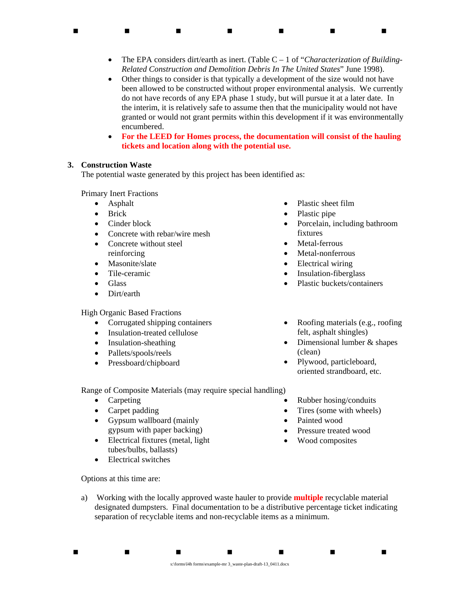The EPA considers dirt/earth as inert. (Table C – 1 of "*Characterization of Building-Related Construction and Demolition Debris In The United States*" June 1998).

. . . . . . . .

- Other things to consider is that typically a development of the size would not have been allowed to be constructed without proper environmental analysis. We currently do not have records of any EPA phase 1 study, but will pursue it at a later date. In the interim, it is relatively safe to assume then that the municipality would not have granted or would not grant permits within this development if it was environmentally encumbered.
- **For the LEED for Homes process, the documentation will consist of the hauling tickets and location along with the potential use.**

# **3. Construction Waste**

The potential waste generated by this project has been identified as:

Primary Inert Fractions

- Asphalt
- Brick
- Cinder block
- Concrete with rebar/wire mesh
- Concrete without steel reinforcing
- Masonite/slate
- Tile-ceramic
- Glass
- Dirt/earth

High Organic Based Fractions

- Corrugated shipping containers
- Insulation-treated cellulose
- Insulation-sheathing
- Pallets/spools/reels
- Pressboard/chipboard
- Plastic sheet film
- Plastic pipe
- Porcelain, including bathroom fixtures
- Metal-ferrous
- Metal-nonferrous
- Electrical wiring
- Insulation-fiberglass
- Plastic buckets/containers
- Roofing materials (e.g., roofing felt, asphalt shingles)
- Dimensional lumber & shapes (clean)
- Plywood, particleboard, oriented strandboard, etc.

 Rubber hosing/conduits Tires (some with wheels)

 Pressure treated wood Wood composites

Painted wood

Range of Composite Materials (may require special handling)

- Carpeting
- Carpet padding
- Gypsum wallboard (mainly gypsum with paper backing)
- Electrical fixtures (metal, light) tubes/bulbs, ballasts)
- Electrical switches

Options at this time are:

a) Working with the locally approved waste hauler to provide **multiple** recyclable material designated dumpsters. Final documentation to be a distributive percentage ticket indicating separation of recyclable items and non-recyclable items as a minimum.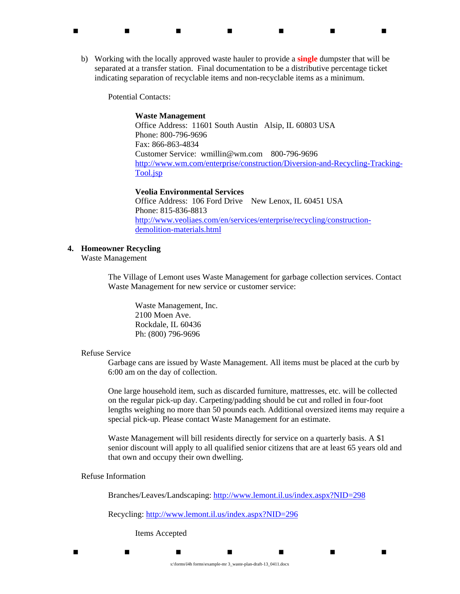b) Working with the locally approved waste hauler to provide a **single** dumpster that will be separated at a transfer station. Final documentation to be a distributive percentage ticket indicating separation of recyclable items and non-recyclable items as a minimum.

. . . . . . . .

Potential Contacts:

#### **Waste Management**

Office Address: 11601 South Austin Alsip, IL 60803 USA Phone: 800-796-9696 Fax: 866-863-4834 Customer Service: wmillin@wm.com 800-796-9696 http://www.wm.com/enterprise/construction/Diversion-and-Recycling-Tracking-Tool.jsp

#### **Veolia Environmental Services**

Office Address: 106 Ford Drive New Lenox, IL 60451 USA Phone: 815-836-8813 http://www.veoliaes.com/en/services/enterprise/recycling/constructiondemolition-materials.html

# **4. Homeowner Recycling**

Waste Management

The Village of Lemont uses Waste Management for garbage collection services. Contact Waste Management for new service or customer service:

Waste Management, Inc. 2100 Moen Ave. Rockdale, IL 60436 Ph: (800) 796-9696

#### Refuse Service

Garbage cans are issued by Waste Management. All items must be placed at the curb by 6:00 am on the day of collection.

One large household item, such as discarded furniture, mattresses, etc. will be collected on the regular pick-up day. Carpeting/padding should be cut and rolled in four-foot lengths weighing no more than 50 pounds each. Additional oversized items may require a special pick-up. Please contact Waste Management for an estimate.

Waste Management will bill residents directly for service on a quarterly basis. A \$1 senior discount will apply to all qualified senior citizens that are at least 65 years old and that own and occupy their own dwelling.

Refuse Information

Branches/Leaves/Landscaping: http://www.lemont.il.us/index.aspx?NID=298

Recycling: http://www.lemont.il.us/index.aspx?NID=296

Items Accepted